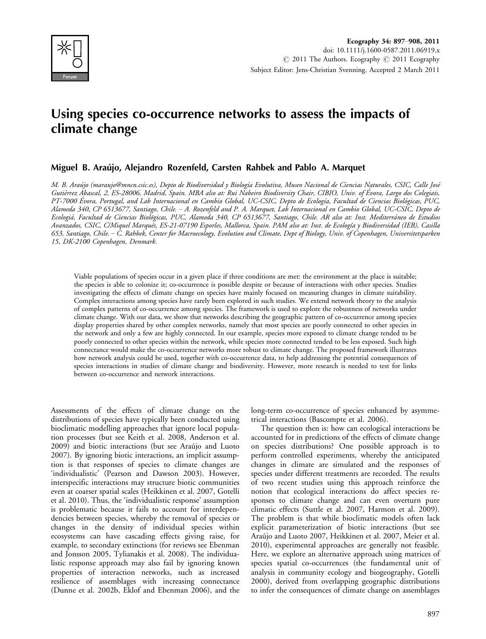

# Using species co-occurrence networks to assess the impacts of climate change

## Miguel B. Arau´jo, Alejandro Rozenfeld, Carsten Rahbek and Pablo A. Marquet

M. B. Araújo (maraujo@mncn.csic.es), Depto de Biodiversidad y Biología Evolutiva, Museo Nacional de Ciencias Naturales, CSIC, Calle José Gutiérrez Ábascal, 2, ES-28006, Madrid, Spain. MBA also at: Rui Nabeiro Biodiversity Chair, CIBIO, Univ. of Évora, Largo dos Colegiais, PT-7000 Évora, Portugal, and Lab Internacional en Cambio Global, UC-CSIC, Depto de Ecología, Facultad de Ciencias Biológicas, PUC, Alameda 340, CP 6513677, Santiago, Chile. A. Rozenfeld and P. A. Marquet, Lab Internacional en Cambio Global, UC-CSIC, Depto de Ecologiá, Facultad de Ciencias Biológicas, PUC, Alameda 340, CP 6513677, Santiago, Chile. AR also at: Inst. Mediterráneo de Estudios Avanzados, CSIC, C/Miquel Marquès, ES-21-07190 Esporles, Mallorca, Spain. PAM also at: Inst. de Ecología y Biodiversidad (IEB), Casilla 653, Santiago, Chile. C. Rahbek, Center for Macroecology, Evolution and Climate, Dept of Biology, Univ. of Copenhagen, Universitetsparken 15, DK-2100 Copenhagen, Denmark.

Viable populations of species occur in a given place if three conditions are met: the environment at the place is suitable; the species is able to colonize it; co-occurrence is possible despite or because of interactions with other species. Studies investigating the effects of climate change on species have mainly focused on measuring changes in climate suitability. Complex interactions among species have rarely been explored in such studies. We extend network theory to the analysis of complex patterns of co-occurrence among species. The framework is used to explore the robustness of networks under climate change. With our data, we show that networks describing the geographic pattern of co-occurrence among species display properties shared by other complex networks, namely that most species are poorly connected to other species in the network and only a few are highly connected. In our example, species more exposed to climate change tended to be poorly connected to other species within the network, while species more connected tended to be less exposed. Such high connectance would make the co-occurrence networks more robust to climate change. The proposed framework illustrates how network analysis could be used, together with co-occurrence data, to help addressing the potential consequences of species interactions in studies of climate change and biodiversity. However, more research is needed to test for links between co-occurrence and network interactions.

Assessments of the effects of climate change on the distributions of species have typically been conducted using bioclimatic modelling approaches that ignore local population processes (but see Keith et al. 2008, Anderson et al. 2009) and biotic interactions (but see Araújo and Luoto 2007). By ignoring biotic interactions, an implicit assumption is that responses of species to climate changes are 'individualistic' (Pearson and Dawson 2003). However, interspecific interactions may structure biotic communities even at coarser spatial scales (Heikkinen et al. 2007, Gotelli et al. 2010). Thus, the 'individualistic response' assumption is problematic because it fails to account for interdependencies between species, whereby the removal of species or changes in the density of individual species within ecosystems can have cascading effects giving raise, for example, to secondary extinctions (for reviews see Ebenman and Jonsson 2005, Tylianakis et al. 2008). The individualistic response approach may also fail by ignoring known properties of interaction networks, such as increased resilience of assemblages with increasing connectance (Dunne et al. 2002b, Eklof and Ebenman 2006), and the

long-term co-occurrence of species enhanced by asymmetrical interactions (Bascompte et al. 2006).

The question then is: how can ecological interactions be accounted for in predictions of the effects of climate change on species distributions? One possible approach is to perform controlled experiments, whereby the anticipated changes in climate are simulated and the responses of species under different treatments are recorded. The results of two recent studies using this approach reinforce the notion that ecological interactions do affect species responses to climate change and can even overturn pure climatic effects (Suttle et al. 2007, Harmon et al. 2009). The problem is that while bioclimatic models often lack explicit parameterization of biotic interactions (but see Araújo and Luoto 2007, Heikkinen et al. 2007, Meier et al. 2010), experimental approaches are generally not feasible. Here, we explore an alternative approach using matrices of species spatial co-occurrences (the fundamental unit of analysis in community ecology and biogeography, Gotelli 2000), derived from overlapping geographic distributions to infer the consequences of climate change on assemblages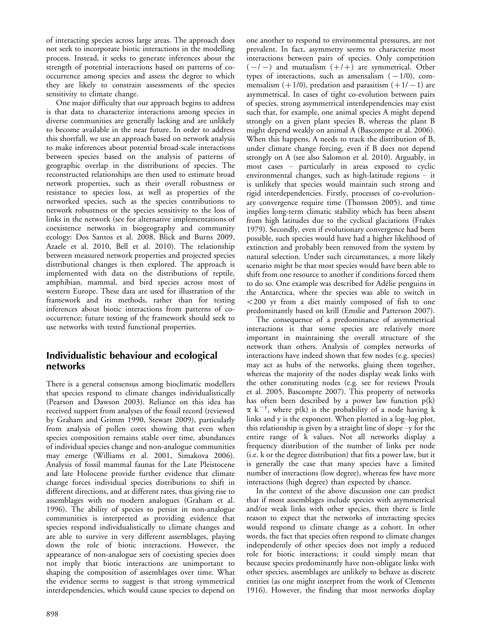of interacting species across large areas. The approach does not seek to incorporate biotic interactions in the modelling process. Instead, it seeks to generate inferences about the strength of potential interactions based on patterns of cooccurrence among species and assess the degree to which they are likely to constrain assessments of the species sensitivity to climate change.

One major difficulty that our approach begins to address is that data to characterize interactions among species in diverse communities are generally lacking and are unlikely to become available in the near future. In order to address this shortfall, we use an approach based on network analysis to make inferences about potential broad-scale interactions between species based on the analysis of patterns of geographic overlap in the distributions of species. The reconstructed relationships are then used to estimate broad network properties, such as their overall robustness or resistance to species loss, as well as properties of the networked species, such as the species contributions to network robustness or the species sensitivity to the loss of links in the network (see for alternative implementations of coexistence networks in biogeography and community ecology: Dos Santos et al. 2008, Blick and Burns 2009, Azaele et al. 2010, Bell et al. 2010). The relationship between measured network properties and projected species distributional changes is then explored. The approach is implemented with data on the distributions of reptile, amphibian, mammal, and bird species across most of western Europe. These data are used for illustration of the framework and its methods, rather than for testing inferences about biotic interactions from patterns of cooccurrence; future testing of the framework should seek to use networks with tested functional properties.

## Individualistic behaviour and ecological networks

There is a general consensus among bioclimatic modellers that species respond to climate changes individualistically (Pearson and Dawson 2003). Reliance on this idea has received support from analyses of the fossil record (reviewed by Graham and Grimm 1990, Stewart 2009), particularly from analysis of pollen cores showing that even when species composition remains stable over time, abundances of individual species change and non-analogue communities may emerge (Williams et al. 2001, Simakova 2006). Analysis of fossil mammal faunas for the Late Pleistocene and late Holocene provide further evidence that climate change forces individual species distributions to shift in different directions, and at different rates, thus giving rise to assemblages with no modern analogues (Graham et al. 1996). The ability of species to persist in non-analogue communities is interpreted as providing evidence that species respond individualistically to climate changes and are able to survive in very different assemblages, playing down the role of biotic interactions. However, the appearance of non-analogue sets of coexisting species does not imply that biotic interactions are unimportant to shaping the composition of assemblages over time. What the evidence seems to suggest is that strong symmetrical interdependencies, which would cause species to depend on

one another to respond to environmental pressures, are not prevalent. In fact, asymmetry seems to characterize most interactions between pairs of species. Only competition  $(-/-)$  and mutualism  $(+/+)$  are symmetrical. Other types of interactions, such as amensalism  $(-1/0)$ , commensalism  $(+1/0)$ , predation and parasitism  $(+1/-1)$  are asymmetrical. In cases of tight co-evolution between pairs of species, strong asymmetrical interdependencies may exist such that, for example, one animal species A might depend strongly on a given plant species B, whereas the plant B might depend weakly on animal A (Bascompte et al. 2006). When this happens, A needs to track the distribution of B, under climate change forcing, even if B does not depend strongly on A (see also Salomon et al. 2010). Arguably, in most cases particularly in areas exposed to cyclic environmental changes, such as high-latitude regions  $-$  it is unlikely that species would maintain such strong and rigid interdependencies. Firstly, processes of co-evolutionary convergence require time (Thomson 2005), and time implies long-term climatic stability which has been absent from high latitudes due to the cyclical glaciations (Frakes 1979). Secondly, even if evolutionary convergence had been possible, such species would have had a higher likelihood of extinction and probably been removed from the system by natural selection. Under such circumstances, a more likely scenario might be that most species would have been able to shift from one resource to another if conditions forced them to do so. One example was described for Adélie penguins in the Antarctica, where the species was able to switch in  $<$  200 yr from a diet mainly composed of fish to one predominantly based on krill (Emslie and Patterson 2007).

The consequence of a predominance of asymmetrical interactions is that some species are relatively more important in maintaining the overall structure of the network than others. Analysis of complex networks of interactions have indeed shown that few nodes (e.g. species) may act as hubs of the networks, gluing them together, whereas the majority of the nodes display weak links with the other constituting nodes (e.g. see for reviews Proulx et al. 2005, Bascompte 2007). This property of networks has often been described by a power law function p(k)  $\alpha$  k<sup>-y</sup>, where p(k) is the probability of a node having k links and  $y$  is the exponent. When plotted in a log-log plot, this relationship is given by a straight line of slope  $-y$  for the entire range of k values. Not all networks display a frequency distribution of the number of links per node (i.e. k or the degree distribution) that fits a power law, but it is generally the case that many species have a limited number of interactions (low degree), whereas few have more interactions (high degree) than expected by chance.

In the context of the above discussion one can predict that if most assemblages include species with asymmetrical and/or weak links with other species, then there is little reason to expect that the networks of interacting species would respond to climate change as a cohort. In other words, the fact that species often respond to climate changes independently of other species does not imply a reduced role for biotic interactions; it could simply mean that because species predominantly have non-obligate links with other species, assemblages are unlikely to behave as discrete entities (as one might interpret from the work of Clements 1916). However, the finding that most networks display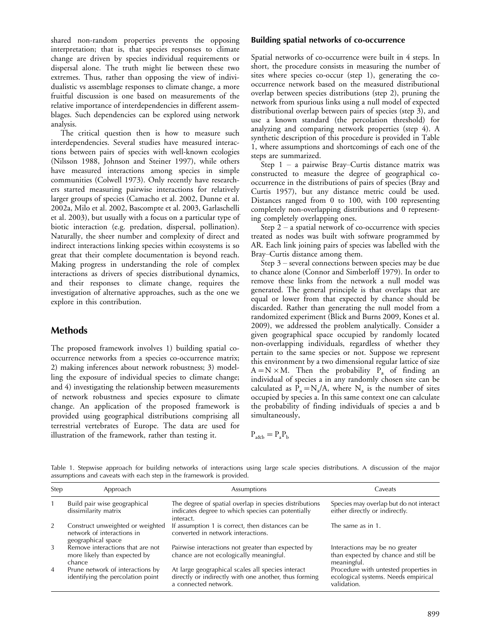shared non-random properties prevents the opposing interpretation; that is, that species responses to climate change are driven by species individual requirements or dispersal alone. The truth might lie between these two extremes. Thus, rather than opposing the view of individualistic vs assemblage responses to climate change, a more fruitful discussion is one based on measurements of the relative importance of interdependencies in different assemblages. Such dependencies can be explored using network analysis.

The critical question then is how to measure such interdependencies. Several studies have measured interactions between pairs of species with well-known ecologies (Nilsson 1988, Johnson and Steiner 1997), while others have measured interactions among species in simple communities (Colwell 1973). Only recently have researchers started measuring pairwise interactions for relatively larger groups of species (Camacho et al. 2002, Dunne et al. 2002a, Milo et al. 2002, Bascompte et al. 2003, Garlaschelli et al. 2003), but usually with a focus on a particular type of biotic interaction (e.g. predation, dispersal, pollination). Naturally, the sheer number and complexity of direct and indirect interactions linking species within ecosystems is so great that their complete documentation is beyond reach. Making progress in understanding the role of complex interactions as drivers of species distributional dynamics, and their responses to climate change, requires the investigation of alternative approaches, such as the one we explore in this contribution.

## Methods

The proposed framework involves 1) building spatial cooccurrence networks from a species co-occurrence matrix; 2) making inferences about network robustness; 3) modelling the exposure of individual species to climate change; and 4) investigating the relationship between measurements of network robustness and species exposure to climate change. An application of the proposed framework is provided using geographical distributions comprising all terrestrial vertebrates of Europe. The data are used for illustration of the framework, rather than testing it.

### Building spatial networks of co-occurrence

Spatial networks of co-occurrence were built in 4 steps. In short, the procedure consists in measuring the number of sites where species co-occur (step 1), generating the cooccurrence network based on the measured distributional overlap between species distributions (step 2), pruning the network from spurious links using a null model of expected distributional overlap between pairs of species (step 3), and use a known standard (the percolation threshold) for analyzing and comparing network properties (step 4). A synthetic description of this procedure is provided in Table 1, where assumptions and shortcomings of each one of the steps are summarized.

Step  $1 - a$  pairwise Bray–Curtis distance matrix was constructed to measure the degree of geographical cooccurrence in the distributions of pairs of species (Bray and Curtis 1957), but any distance metric could be used. Distances ranged from 0 to 100, with 100 representing completely non-overlapping distributions and 0 representing completely overlapping ones.

Step  $2 - a$  spatial network of co-occurrence with species treated as nodes was built with software programmed by AR. Each link joining pairs of species was labelled with the Bray–Curtis distance among them.

Step  $3$  – several connections between species may be due to chance alone (Connor and Simberloff 1979). In order to remove these links from the network a null model was generated. The general principle is that overlaps that are equal or lower from that expected by chance should be discarded. Rather than generating the null model from a randomized experiment (Blick and Burns 2009, Kones et al. 2009), we addressed the problem analytically. Consider a given geographical space occupied by randomly located non-overlapping individuals, regardless of whether they pertain to the same species or not. Suppose we represent this environment by a two dimensional regular lattice of size  $A = N \times M$ . Then the probability  $P_a$  of finding an individual of species a in any randomly chosen site can be calculated as  $P_a = N_a/A$ , where  $N_a$  is the number of sites occupied by species a. In this same context one can calculate the probability of finding individuals of species a and b simultaneously,

$$
P_{a\&b}=P_aP_b
$$

Table 1. Stepwise approach for building networks of interactions using large scale species distributions. A discussion of the major assumptions and caveats with each step in the framework is provided.

| Step           | Approach                                                                             | Assumptions                                                                                                                        | Caveats                                                                                     |
|----------------|--------------------------------------------------------------------------------------|------------------------------------------------------------------------------------------------------------------------------------|---------------------------------------------------------------------------------------------|
|                | Build pair wise geographical<br>dissimilarity matrix                                 | The degree of spatial overlap in species distributions<br>indicates degree to which species can potentially<br>interact.           | Species may overlap but do not interact<br>either directly or indirectly.                   |
| 2              | Construct unweighted or weighted<br>network of interactions in<br>geographical space | If assumption 1 is correct, then distances can be<br>converted in network interactions.                                            | The same as in 1.                                                                           |
| 3              | Remove interactions that are not<br>more likely than expected by<br>chance           | Pairwise interactions not greater than expected by<br>chance are not ecologically meaningful.                                      | Interactions may be no greater<br>than expected by chance and still be<br>meaningful.       |
| $\overline{4}$ | Prune network of interactions by<br>identifying the percolation point                | At large geographical scales all species interact<br>directly or indirectly with one another, thus forming<br>a connected network. | Procedure with untested properties in<br>ecological systems. Needs empirical<br>validation. |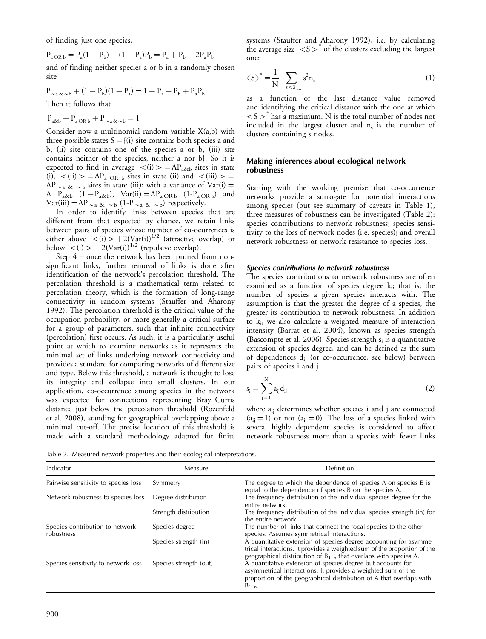of finding just one species,

 $P_{a \text{ OR } b} = P_a(1 - P_b) + (1 - P_a)P_b = P_a + P_b - 2P_aP_b$ and of finding neither species a or b in a randomly chosen site

$$
P_{\sim a\&\sim b} + (1 - P_b)(1 - P_a) = 1 - P_a - P_b + P_a P_b
$$
  
Then it follows that

$$
P_{a\&b}+P_{a\,OR\,b}+P_{\sim a\,\&\sim b}=1
$$

Consider now a multinomial random variable  $X(a,b)$  with three possible states  $S = \{(i)$  site contains both species a and b, (ii) site contains one of the species a or b, (iii) site contains neither of the species, neither a nor b}. So it is expected to find in average  $\langle i \rangle$   $>$   $=$  AP<sub>a&b</sub> sites in state (i),  $\langle$ (ii)  $\rangle$  = AP<sub>a OR b</sub> sites in state (ii) and  $\langle$ (iii)  $\rangle$  =  $AP_{\sim a}$   $\⊂> b$  sites in state (iii); with a variance of Var(i) = A  $P_{a\&b}$   $(1-P_{a\&b})$ ,  $Var(ii) = AP_{a \&b}$   $(1-P_{a \&b})$  and Var(iii) = AP  $_{\sim}$  a  $_{\&}$   $_{\sim}$  b (1-P  $_{\sim}$  a  $_{\&}$   $_{\sim}$  b) respectively.

In order to identify links between species that are different from that expected by chance, we retain links between pairs of species whose number of co-ocurrences is either above  $\langle i \rangle > + 2(Var(i))^{1/2}$  (attractive overlap) or below  $\langle i \rangle > -2$ (Var(i))<sup>1/2</sup> (repulsive overlap).

Step  $4$  – once the network has been pruned from nonsignificant links, further removal of links is done after identification of the network's percolation threshold. The percolation threshold is a mathematical term related to percolation theory, which is the formation of long-range connectivity in random systems (Stauffer and Aharony 1992). The percolation threshold is the critical value of the occupation probability, or more generally a critical surface for a group of parameters, such that infinite connectivity (percolation) first occurs. As such, it is a particularly useful point at which to examine networks as it represents the minimal set of links underlying network connectivity and provides a standard for comparing networks of different size and type. Below this threshold, a network is thought to lose its integrity and collapse into small clusters. In our application, co-occurrence among species in the network was expected for connections representing Bray–Curtis distance just below the percolation threshold (Rozenfeld et al. 2008), standing for geographical overlapping above a minimal cut-off. The precise location of this threshold is made with a standard methodology adapted for finite

systems (Stauffer and Aharony 1992), i.e. by calculating the average size  $\langle S \rangle$  of the clusters excluding the largest one:

$$
\left\langle S\right\rangle^* = \frac{1}{N} \sum_{s < S_{\text{max}}} s^2 n_s \tag{1}
$$

as a function of the last distance value removed and identifying the critical distance with the one at which  $S$   $\le$  has a maximum. N is the total number of nodes not included in the largest cluster and  $n_s$  is the number of clusters containing s nodes.

### Making inferences about ecological network robustness

Starting with the working premise that co-occurrence networks provide a surrogate for potential interactions among species (but see summary of caveats in Table 1), three measures of robustness can be investigated (Table 2): species contributions to network robustness; species sensitivity to the loss of network nodes (i.e. species); and overall network robustness or network resistance to species loss.

### Species contributions to network robustness

The species contributions to network robustness are often examined as a function of species degree  $k_i$ ; that is, the number of species a given species interacts with. The assumption is that the greater the degree of a species, the greater its contribution to network robustness. In addition to  $k_i$ , we also calculate a weighted measure of interaction intensity (Barrat et al. 2004), known as species strength (Bascompte et al. 2006). Species strength  $s_i$  is a quantitative extension of species degree, and can be defined as the sum of dependences  $d_{ij}$  (or co-occurrence, see below) between pairs of species i and j

$$
s_{i} = \sum_{j=1}^{N} a_{ij} d_{ij}
$$
 (2)

where  $a_{ij}$  determines whether species i and j are connected  $(a_{ij}=1)$  or not  $(a_{ij}=0)$ . The loss of a species linked with several highly dependent species is considered to affect network robustness more than a species with fewer links

Table 2. Measured network properties and their ecological interpretations.

| Indicator                                     | Measure                | Definition                                                                                                                                                                                                            |
|-----------------------------------------------|------------------------|-----------------------------------------------------------------------------------------------------------------------------------------------------------------------------------------------------------------------|
| Pairwise sensitivity to species loss          | Symmetry               | The degree to which the dependence of species A on species B is<br>equal to the dependence of species B on the species A.                                                                                             |
| Network robustness to species loss            | Degree distribution    | The frequency distribution of the individual species degree for the<br>entire network.                                                                                                                                |
|                                               | Strength distribution  | The frequency distribution of the individual species strength (in) for<br>the entire network.                                                                                                                         |
| Species contribution to network<br>robustness | Species degree         | The number of links that connect the focal species to the other<br>species. Assumes symmetrical interactions.                                                                                                         |
|                                               | Species strength (in)  | A quantitative extension of species degree accounting for asymme-<br>trical interactions. It provides a weighted sum of the proportion of the<br>geographical distribution of $B_{1,n}$ that overlaps with species A. |
| Species sensitivity to network loss           | Species strength (out) | A quantitative extension of species degree but accounts for<br>asymmetrical interactions. It provides a weighted sum of the<br>proportion of the geographical distribution of A that overlaps with<br>$B_{1n}$        |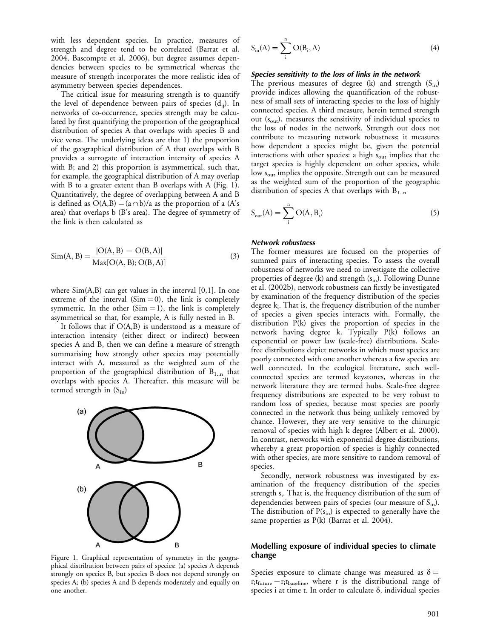with less dependent species. In practice, measures of strength and degree tend to be correlated (Barrat et al. 2004, Bascompte et al. 2006), but degree assumes dependencies between species to be symmetrical whereas the measure of strength incorporates the more realistic idea of asymmetry between species dependences.

The critical issue for measuring strength is to quantify the level of dependence between pairs of species  $(d_{ii})$ . In networks of co-occurrence, species strength may be calculated by first quantifying the proportion of the geographical distribution of species A that overlaps with species B and vice versa. The underlying ideas are that 1) the proportion of the geographical distribution of A that overlaps with B provides a surrogate of interaction intensity of species A with B; and 2) this proportion is asymmetrical, such that, for example, the geographical distribution of A may overlap with B to a greater extent than B overlaps with A (Fig. 1). Quantitatively, the degree of overlapping between A and B is defined as  $O(A,B)=(a\cap b)/a$  as the proportion of a (A's area) that overlaps b (B's area). The degree of symmetry of the link is then calculated as

$$
Sim(A, B) = \frac{|O(A, B) - O(B, A)|}{Max[O(A, B); O(B, A)]}
$$
(3)

where  $Sim(A, B)$  can get values in the interval [0,1]. In one extreme of the interval  $(Sim=0)$ , the link is completely symmetric. In the other  $(Sim=1)$ , the link is completely asymmetrical so that, for example, A is fully nested in B.

It follows that if O(A,B) is understood as a measure of interaction intensity (either direct or indirect) between species A and B, then we can define a measure of strength summarising how strongly other species may potentially interact with A, measured as the weighted sum of the proportion of the geographical distribution of  $B_{1,n}$  that overlaps with species A. Thereafter, this measure will be termed strength in  $(S_{in})$ 



Figure 1. Graphical representation of symmetry in the geographical distribution between pairs of species: (a) species A depends strongly on species B, but species B does not depend strongly on species A; (b) species A and B depends moderately and equally on one another.

$$
S_{in}(A) = \sum_{i}^{n} O(B_{i}, A)
$$
 (4)

#### Species sensitivity to the loss of links in the network

The previous measures of degree (k) and strength  $(S_{in})$ provide indices allowing the quantification of the robustness of small sets of interacting species to the loss of highly connected species. A third measure, herein termed strength out (s<sub>out</sub>), measures the sensitivity of individual species to the loss of nodes in the network. Strength out does not contribute to measuring network robustness; it measures how dependent a species might be, given the potential interactions with other species: a high  $s_{\text{out}}$  implies that the target species is highly dependent on other species, while low s<sub>out</sub> implies the opposite. Strength out can be measured as the weighted sum of the proportion of the geographic distribution of species A that overlaps with  $B_{1..n}$ 

$$
S_{\text{out}}(A) = \sum_{i}^{n} O(A, B_{i})
$$
\n(5)

#### Network robustness

The former measures are focused on the properties of summed pairs of interacting species. To assess the overall robustness of networks we need to investigate the collective properties of degree (k) and strength  $(s_{in})$ . Following Dunne et al. (2002b), network robustness can firstly be investigated by examination of the frequency distribution of the species degree k<sub>i</sub>. That is, the frequency distribution of the number of species a given species interacts with. Formally, the distribution P(k) gives the proportion of species in the network having degree k. Typically P(k) follows an exponential or power law (scale-free) distributions. Scalefree distributions depict networks in which most species are poorly connected with one another whereas a few species are well connected. In the ecological literature, such wellconnected species are termed keystones, whereas in the network literature they are termed hubs. Scale-free degree frequency distributions are expected to be very robust to random loss of species, because most species are poorly connected in the network thus being unlikely removed by chance. However, they are very sensitive to the chirurgic removal of species with high k degree (Albert et al. 2000). In contrast, networks with exponential degree distributions, whereby a great proportion of species is highly connected with other species, are more sensitive to random removal of species.

Secondly, network robustness was investigated by examination of the frequency distribution of the species strength  $s_i$ . That is, the frequency distribution of the sum of dependencies between pairs of species (our measure of S<sub>in</sub>). The distribution of  $P(s<sub>in</sub>)$  is expected to generally have the same properties as P(k) (Barrat et al. 2004).

#### Modelling exposure of individual species to climate change

Species exposure to climate change was measured as  $\delta =$ ritfuture-ritbaseline, where r is the distributional range of species i at time t. In order to calculate  $\delta$ , individual species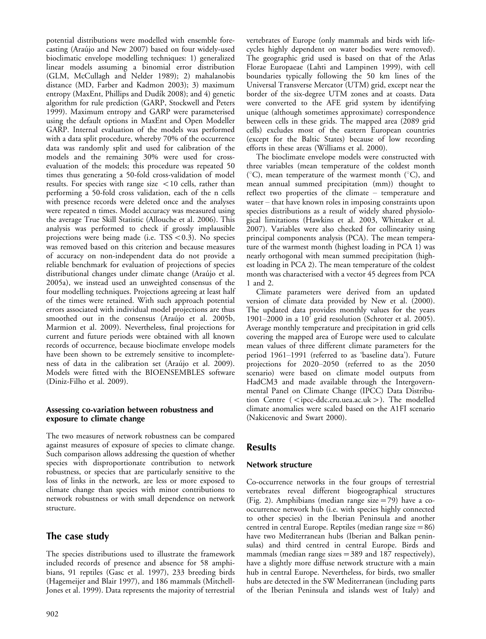potential distributions were modelled with ensemble forecasting (Araújo and New 2007) based on four widely-used bioclimatic envelope modelling techniques: 1) generalized linear models assuming a binomial error distribution (GLM, McCullagh and Nelder 1989); 2) mahalanobis distance (MD, Farber and Kadmon 2003); 3) maximum entropy (MaxEnt, Phillips and Dudík 2008); and 4) genetic algorithm for rule prediction (GARP, Stockwell and Peters 1999). Maximum entropy and GARP were parameterised using the default options in MaxEnt and Open Modeller GARP. Internal evaluation of the models was performed with a data split procedure, whereby 70% of the occurrence data was randomly split and used for calibration of the models and the remaining 30% were used for crossevaluation of the models; this procedure was repeated 50 times thus generating a 50-fold cross-validation of model results. For species with range size  $<$  10 cells, rather than performing a 50-fold cross validation, each of the n cells with presence records were deleted once and the analyses were repeated n times. Model accuracy was measured using the average True Skill Statistic (Allouche et al. 2006). This analysis was performed to check if grossly implausible projections were being made (i.e.  $TSS < 0.3$ ). No species was removed based on this criterion and because measures of accuracy on non-independent data do not provide a reliable benchmark for evaluation of projections of species distributional changes under climate change (Araújo et al. 2005a), we instead used an unweighted consensus of the four modelling techniques. Projections agreeing at least half of the times were retained. With such approach potential errors associated with individual model projections are thus smoothed out in the consensus (Araújo et al. 2005b, Marmion et al. 2009). Nevertheless, final projections for current and future periods were obtained with all known records of occurrence, because bioclimate envelope models have been shown to be extremely sensitive to incompleteness of data in the calibration set (Araújo et al. 2009). Models were fitted with the BIOENSEMBLES software (Diniz-Filho et al. 2009).

## Assessing co-variation between robustness and exposure to climate change

The two measures of network robustness can be compared against measures of exposure of species to climate change. Such comparison allows addressing the question of whether species with disproportionate contribution to network robustness, or species that are particularly sensitive to the loss of links in the network, are less or more exposed to climate change than species with minor contributions to network robustness or with small dependence on network structure.

## The case study

The species distributions used to illustrate the framework included records of presence and absence for 58 amphibians, 91 reptiles (Gasc et al. 1997), 233 breeding birds (Hagemeijer and Blair 1997), and 186 mammals (Mitchell-Jones et al. 1999). Data represents the majority of terrestrial

vertebrates of Europe (only mammals and birds with lifecycles highly dependent on water bodies were removed). The geographic grid used is based on that of the Atlas Florae Europaeae (Lahti and Lampinen 1999), with cell boundaries typically following the 50 km lines of the Universal Transverse Mercator (UTM) grid, except near the border of the six-degree UTM zones and at coasts. Data were converted to the AFE grid system by identifying unique (although sometimes approximate) correspondence between cells in these grids. The mapped area (2089 grid cells) excludes most of the eastern European countries (except for the Baltic States) because of low recording efforts in these areas (Williams et al. 2000).

The bioclimate envelope models were constructed with three variables (mean temperature of the coldest month ( ${}^{\circ}$ C), mean temperature of the warmest month ( ${}^{\circ}$ C), and mean annual summed precipitation (mm)) thought to reflect two properties of the climate  $-$  temperature and water  $-$  that have known roles in imposing constraints upon species distributions as a result of widely shared physiological limitations (Hawkins et al. 2003, Whittaker et al. 2007). Variables were also checked for collinearity using principal components analysis (PCA). The mean temperature of the warmest month (highest loading in PCA 1) was nearly orthogonal with mean summed precipitation (highest loading in PCA 2). The mean temperature of the coldest month was characterised with a vector 45 degrees from PCA 1 and 2.

Climate parameters were derived from an updated version of climate data provided by New et al. (2000). The updated data provides monthly values for the years 1901-2000 in a 10' grid resolution (Schroter et al. 2005). Average monthly temperature and precipitation in grid cells covering the mapped area of Europe were used to calculate mean values of three different climate parameters for the period 1961-1991 (referred to as 'baseline data'). Future projections for  $2020-2050$  (referred to as the  $2050$ scenario) were based on climate model outputs from HadCM3 and made available through the Intergovernmental Panel on Climate Change (IPCC) Data Distribution Centre ( $\leq$ ipcc-ddc.cru.uea.ac.uk $>$ ). The modelled climate anomalies were scaled based on the A1FI scenario (Nakicenovic and Swart 2000).

## **Results**

## Network structure

Co-occurrence networks in the four groups of terrestrial vertebrates reveal different biogeographical structures (Fig. 2). Amphibians (median range size  $=79$ ) have a cooccurrence network hub (i.e. with species highly connected to other species) in the Iberian Peninsula and another centred in central Europe. Reptiles (median range size  $=86$ ) have two Mediterranean hubs (Iberian and Balkan peninsulas) and third centred in central Europe. Birds and mammals (median range sizes  $=389$  and 187 respectively), have a slightly more diffuse network structure with a main hub in central Europe. Nevertheless, for birds, two smaller hubs are detected in the SW Mediterranean (including parts of the Iberian Peninsula and islands west of Italy) and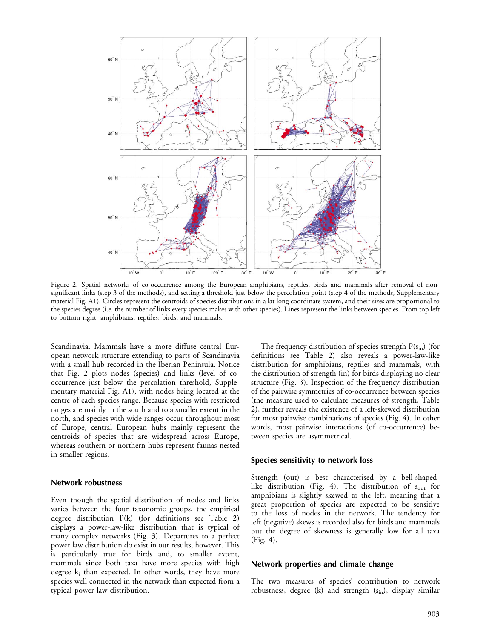

Figure 2. Spatial networks of co-occurrence among the European amphibians, reptiles, birds and mammals after removal of nonsignificant links (step 3 of the methods), and setting a threshold just below the percolation point (step 4 of the methods, Supplementary material Fig. A1). Circles represent the centroids of species distributions in a lat long coordinate system, and their sizes are proportional to the species degree (i.e. the number of links every species makes with other species). Lines represent the links between species. From top left to bottom right: amphibians; reptiles; birds; and mammals.

Scandinavia. Mammals have a more diffuse central European network structure extending to parts of Scandinavia with a small hub recorded in the Iberian Peninsula. Notice that Fig. 2 plots nodes (species) and links (level of cooccurrence just below the percolation threshold, Supplementary material Fig. A1), with nodes being located at the centre of each species range. Because species with restricted ranges are mainly in the south and to a smaller extent in the north, and species with wide ranges occur throughout most of Europe, central European hubs mainly represent the centroids of species that are widespread across Europe, whereas southern or northern hubs represent faunas nested in smaller regions.

#### Network robustness

Even though the spatial distribution of nodes and links varies between the four taxonomic groups, the empirical degree distribution P(k) (for definitions see Table 2) displays a power-law-like distribution that is typical of many complex networks (Fig. 3). Departures to a perfect power law distribution do exist in our results, however. This is particularly true for birds and, to smaller extent, mammals since both taxa have more species with high degree  $k_i$  than expected. In other words, they have more species well connected in the network than expected from a typical power law distribution.

The frequency distribution of species strength  $P(s<sub>in</sub>)$  (for definitions see Table 2) also reveals a power-law-like distribution for amphibians, reptiles and mammals, with the distribution of strength (in) for birds displaying no clear structure (Fig. 3). Inspection of the frequency distribution of the pairwise symmetries of co-occurrence between species (the measure used to calculate measures of strength, Table 2), further reveals the existence of a left-skewed distribution for most pairwise combinations of species (Fig. 4). In other words, most pairwise interactions (of co-occurrence) between species are asymmetrical.

#### Species sensitivity to network loss

Strength (out) is best characterised by a bell-shapedlike distribution (Fig. 4). The distribution of  $s_{\text{out}}$  for amphibians is slightly skewed to the left, meaning that a great proportion of species are expected to be sensitive to the loss of nodes in the network. The tendency for left (negative) skews is recorded also for birds and mammals but the degree of skewness is generally low for all taxa (Fig. 4).

#### Network properties and climate change

The two measures of species' contribution to network robustness, degree (k) and strength  $(s_{in})$ , display similar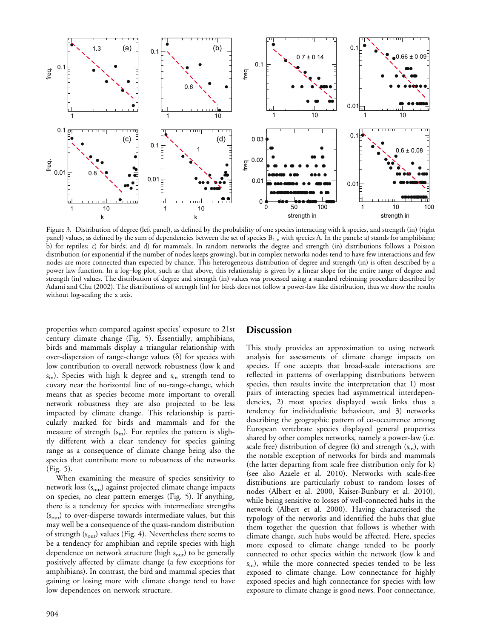

Figure 3. Distribution of degree (left panel), as defined by the probability of one species interacting with k species, and strength (in) (right panel) values, as defined by the sum of dependencies between the set of species  $B_{1,n}$  with species A. In the panels: a) stands for amphibians; b) for reptiles; c) for birds; and d) for mammals. In random networks the degree and strength (in) distributions follows a Poisson distribution (or exponential if the number of nodes keeps growing), but in complex networks nodes tend to have few interactions and few nodes are more connected than expected by chance. This heterogeneous distribution of degree and strength (in) is often described by a power law function. In a log-log plot, such as that above, this relationship is given by a linear slope for the entire range of degree and strength (in) values. The distribution of degree and strength (in) values was processed using a standard rebinning procedure described by Adami and Chu (2002). The distributions of strength (in) for birds does not follow a power-law like distribution, thus we show the results without log-scaling the x axis.

properties when compared against species' exposure to 21st century climate change (Fig. 5). Essentially, amphibians, birds and mammals display a triangular relationship with over-dispersion of range-change values  $(\delta)$  for species with low contribution to overall network robustness (low k and  $s_{\rm in}$ ). Species with high k degree and  $s_{\rm in}$  strength tend to covary near the horizontal line of no-range-change, which means that as species become more important to overall network robustness they are also projected to be less impacted by climate change. This relationship is particularly marked for birds and mammals and for the measure of strength  $(s_{in})$ . For reptiles the pattern is slightly different with a clear tendency for species gaining range as a consequence of climate change being also the species that contribute more to robustness of the networks (Fig. 5).

When examining the measure of species sensitivity to network loss (s<sub>out</sub>) against projected climate change impacts on species, no clear pattern emerges (Fig. 5). If anything, there is a tendency for species with intermediate strengths (s<sub>out</sub>) to over-disperse towards intermediate values, but this may well be a consequence of the quasi-random distribution of strength  $(s_{out})$  values (Fig. 4). Nevertheless there seems to be a tendency for amphibian and reptile species with high dependence on network structure (high  $s_{\text{out}}$ ) to be generally positively affected by climate change (a few exceptions for amphibians). In contrast, the bird and mammal species that gaining or losing more with climate change tend to have low dependences on network structure.

## **Discussion**

This study provides an approximation to using network analysis for assessments of climate change impacts on species. If one accepts that broad-scale interactions are reflected in patterns of overlapping distributions between species, then results invite the interpretation that 1) most pairs of interacting species had asymmetrical interdependencies, 2) most species displayed weak links thus a tendency for individualistic behaviour, and 3) networks describing the geographic pattern of co-occurrence among European vertebrate species displayed general properties shared by other complex networks, namely a power-law (i.e. scale free) distribution of degree (k) and strength  $(s_{in})$ , with the notable exception of networks for birds and mammals (the latter departing from scale free distribution only for k) (see also Azaele et al. 2010). Networks with scale-free distributions are particularly robust to random losses of nodes (Albert et al. 2000, Kaiser-Bunbury et al. 2010), while being sensitive to losses of well-connected hubs in the network (Albert et al. 2000). Having characterised the typology of the networks and identified the hubs that glue them together the question that follows is whether with climate change, such hubs would be affected. Here, species more exposed to climate change tended to be poorly connected to other species within the network (low k and  $s_{\rm in}$ ), while the more connected species tended to be less exposed to climate change. Low connectance for highly exposed species and high connectance for species with low exposure to climate change is good news. Poor connectance,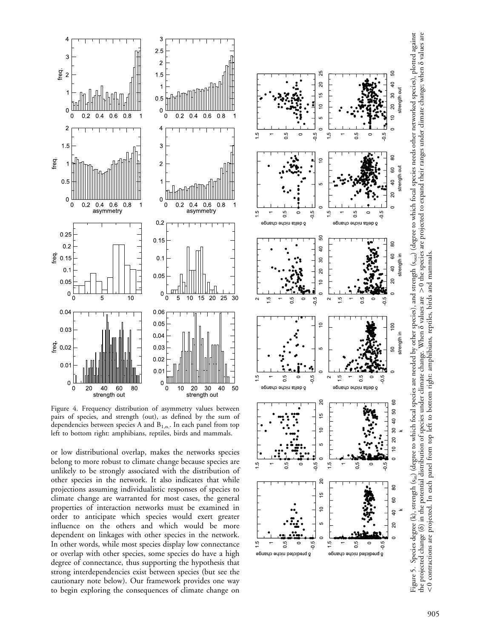

Figure 4. Frequency distribution of asymmetry values between pairs of species, and strength (out), as de fined by the sum of dependencies between species A and  $B_{1,n}$ . In each panel from top left to bottom right: amphibians, reptiles, birds and mammals.

or low distributional overlap, makes the networks species belong to more robust to climate change because species are unlikely to be strongly associated with the distribution of other species in the network. It also indicates that while projections assuming individualistic responses of species to climate change are warranted for most cases, the general properties of interaction networks must be examined in order to anticipate which species would exert greater influence on the others and which would be more dependent on linkages with other species in the network. In other words, while most species display low connectance or overlap with other species, some species do have a high degree of connectance, thus supporting the hypothesis that strong interdependencies exist between species (but see the cautionary note below). Our framework provides one way to begin exploring the consequences of climate change on



Figure 5. Species degree (k), strength (s<sub>in</sub>) (degree to which focal species are needed by other species), and strength (s<sub>out</sub>) (degree to which focal species needs other networked species), plotted against the projected change (δ) in the potential distribution of species under climate change. When δ values are > 0 the species are projected to expand their ranges under climate change; when δ values are Figure 5. Species degree (k), strength (sin) (degree to which focal species are needed by other species), and strength (sout) (degree to which focal species needs other networked species), plotted against the projected change (δ) in the potential distribution of species under climate change. When  $\delta$  values are  $>0$  the species are projected to expand their ranges under climate change; when  $\delta$  values are <0 contractions are projected. In each panel from top left to bottom right: amphibians, reptiles, birds and mammals. B0 contractions are projected. In each panel from top left to bottom right: amphibians, reptiles, birds and mammals.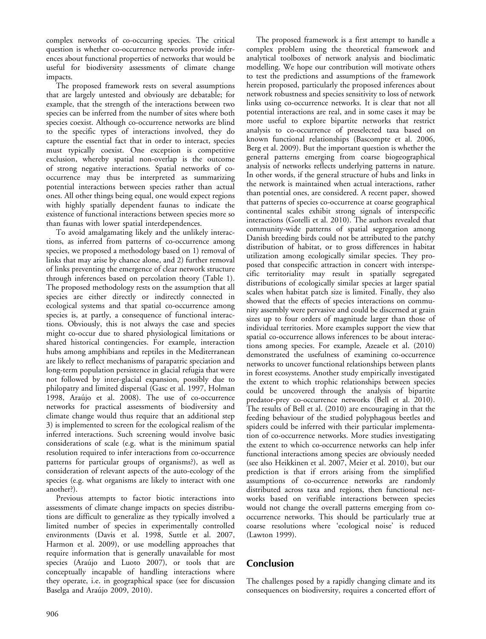complex networks of co-occurring species. The critical question is whether co-occurrence networks provide inferences about functional properties of networks that would be useful for biodiversity assessments of climate change impacts.

The proposed framework rests on several assumptions that are largely untested and obviously are debatable; for example, that the strength of the interactions between two species can be inferred from the number of sites where both species coexist. Although co-occurrence networks are blind to the specific types of interactions involved, they do capture the essential fact that in order to interact, species must typically coexist. One exception is competitive exclusion, whereby spatial non-overlap is the outcome of strong negative interactions. Spatial networks of cooccurrence may thus be interpreted as summarizing potential interactions between species rather than actual ones. All other things being equal, one would expect regions with highly spatially dependent faunas to indicate the existence of functional interactions between species more so than faunas with lower spatial interdependences.

To avoid amalgamating likely and the unlikely interactions, as inferred from patterns of co-occurrence among species, we proposed a methodology based on 1) removal of links that may arise by chance alone, and 2) further removal of links preventing the emergence of clear network structure through inferences based on percolation theory (Table 1). The proposed methodology rests on the assumption that all species are either directly or indirectly connected in ecological systems and that spatial co-occurrence among species is, at partly, a consequence of functional interactions. Obviously, this is not always the case and species might co-occur due to shared physiological limitations or shared historical contingencies. For example, interaction hubs among amphibians and reptiles in the Mediterranean are likely to reflect mechanisms of parapatric speciation and long-term population persistence in glacial refugia that were not followed by inter-glacial expansion, possibly due to philopatry and limited dispersal (Gasc et al. 1997, Holman 1998, Araújo et al. 2008). The use of co-occurrence networks for practical assessments of biodiversity and climate change would thus require that an additional step 3) is implemented to screen for the ecological realism of the inferred interactions. Such screening would involve basic considerations of scale (e.g. what is the minimum spatial resolution required to infer interactions from co-occurrence patterns for particular groups of organisms?), as well as consideration of relevant aspects of the auto-ecology of the species (e.g. what organisms are likely to interact with one another?).

Previous attempts to factor biotic interactions into assessments of climate change impacts on species distributions are difficult to generalize as they typically involved a limited number of species in experimentally controlled environments (Davis et al. 1998, Suttle et al. 2007, Harmon et al. 2009), or use modelling approaches that require information that is generally unavailable for most species (Araújo and Luoto 2007), or tools that are conceptually incapable of handling interactions where they operate, i.e. in geographical space (see for discussion Baselga and Araújo 2009, 2010).

The proposed framework is a first attempt to handle a complex problem using the theoretical framework and analytical toolboxes of network analysis and bioclimatic modelling. We hope our contribution will motivate others to test the predictions and assumptions of the framework herein proposed, particularly the proposed inferences about network robustness and species sensitivity to loss of network links using co-occurrence networks. It is clear that not all potential interactions are real, and in some cases it may be more useful to explore bipartite networks that restrict analysis to co-occurrence of preselected taxa based on known functional relationships (Bascompte et al. 2006, Berg et al. 2009). But the important question is whether the general patterns emerging from coarse biogeographical analysis of networks reflects underlying patterns in nature. In other words, if the general structure of hubs and links in the network is maintained when actual interactions, rather than potential ones, are considered. A recent paper, showed that patterns of species co-occurrence at coarse geographical continental scales exhibit strong signals of interspecific interactions (Gotelli et al. 2010). The authors revealed that community-wide patterns of spatial segregation among Danish breeding birds could not be attributed to the patchy distribution of habitat, or to gross differences in habitat utilization among ecologically similar species. They proposed that conspecific attraction in concert with interspecific territoriality may result in spatially segregated distributions of ecologically similar species at larger spatial scales when habitat patch size is limited. Finally, they also showed that the effects of species interactions on community assembly were pervasive and could be discerned at grain sizes up to four orders of magnitude larger than those of individual territories. More examples support the view that spatial co-occurrence allows inferences to be about interactions among species. For example, Azeaele et al. (2010) demonstrated the usefulness of examining co-occurrence networks to uncover functional relationships between plants in forest ecosystems. Another study empirically investigated the extent to which trophic relationships between species could be uncovered through the analysis of bipartite predator-prey co-occurrence networks (Bell et al. 2010). The results of Bell et al. (2010) are encouraging in that the feeding behaviour of the studied polyphagous beetles and spiders could be inferred with their particular implementation of co-occurrence networks. More studies investigating the extent to which co-occurrence networks can help infer functional interactions among species are obviously needed (see also Heikkinen et al. 2007, Meier et al. 2010), but our prediction is that if errors arising from the simplified assumptions of co-occurrence networks are randomly distributed across taxa and regions, then functional networks based on verifiable interactions between species would not change the overall patterns emerging from cooccurrence networks. This should be particularly true at coarse resolutions where 'ecological noise' is reduced (Lawton 1999).

## Conclusion

The challenges posed by a rapidly changing climate and its consequences on biodiversity, requires a concerted effort of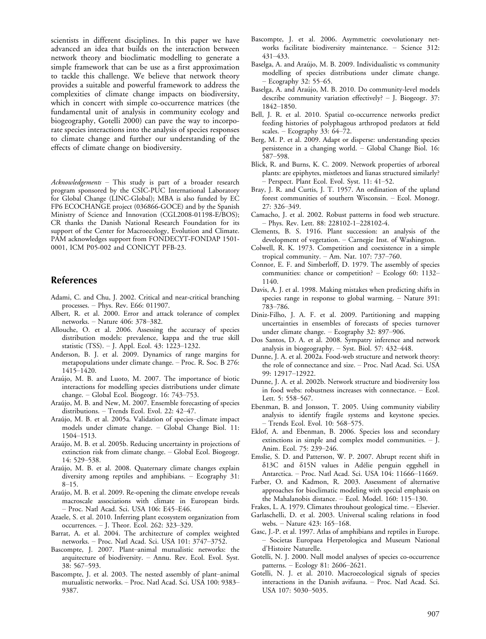scientists in different disciplines. In this paper we have advanced an idea that builds on the interaction between network theory and bioclimatic modelling to generate a simple framework that can be use as a first approximation to tackle this challenge. We believe that network theory provides a suitable and powerful framework to address the complexities of climate change impacts on biodiversity, which in concert with simple co-occurrence matrices (the fundamental unit of analysis in community ecology and biogeography, Gotelli 2000) can pave the way to incorporate species interactions into the analysis of species responses to climate change and further our understanding of the effects of climate change on biodiversity.

Acknowledgements - This study is part of a broader research program sponsored by the CSIC-PUC International Laboratory for Global Change (LINC-Global); MBA is also funded by EC FP6 ECOCHANGE project (036866-GOCE) and by the Spanish Ministry of Science and Innovation (CGL2008-01198-E/BOS); CR thanks the Danish National Research Foundation for its support of the Center for Macroecology, Evolution and Climate. PAM acknowledges support from FONDECYT-FONDAP 1501- 0001, ICM P05-002 and CONICYT PFB-23.

## References

- Adami, C. and Chu, J. 2002. Critical and near-critical branching processes. Phys. Rev. E66: 011907.
- Albert, R. et al. 2000. Error and attack tolerance of complex networks. - Nature 406: 378-382.
- Allouche, O. et al. 2006. Assessing the accuracy of species distribution models: prevalence, kappa and the true skill statistic (TSS). – J. Appl. Ecol. 43: 1223–1232.
- Anderson, B. J. et al. 2009. Dynamics of range margins for metapopulations under climate change. - Proc. R. Soc. B 276: 1415-1420.
- Araújo, M. B. and Luoto, M. 2007. The importance of biotic interactions for modelling species distributions under climate change. - Global Ecol. Biogeogr. 16: 743-753.
- Araújo, M. B. and New, M. 2007. Ensemble forecasting of species distributions. - Trends Ecol. Evol. 22: 42-47.
- Araújo, M. B. et al. 2005a. Validation of species-climate impact models under climate change. Global Change Biol. 11: 1504-1513.
- Araújo, M. B. et al. 2005b. Reducing uncertainty in projections of extinction risk from climate change. Global Ecol. Biogeogr. 14: 529-538.
- Araújo, M. B. et al. 2008. Quaternary climate changes explain diversity among reptiles and amphibians. – Ecography 31:  $8-15.$
- Araújo, M. B. et al. 2009. Re-opening the climate envelope reveals macroscale associations with climate in European birds. - Proc. Natl Acad. Sci. USA 106: E45-E46.
- Azaele, S. et al. 2010. Inferring plant ecosystem organization from occurrences.  $-$  J. Theor. Ecol. 262: 323–329.
- Barrat, A. et al. 2004. The architecture of complex weighted networks. - Proc. Natl Acad. Sci. USA 101: 3747-3752.
- Bascompte, J. 2007. Plant-animal mutualistic networks: the arquitecture of biodiversity. Annu. Rev. Ecol. Evol. Syst. 38: 567-593.
- Bascompte, J. et al. 2003. The nested assembly of plant-animal mutualistic networks. - Proc. Natl Acad. Sci. USA 100: 9383-9387.
- Bascompte, J. et al. 2006. Asymmetric coevolutionary networks facilitate biodiversity maintenance.  $-$  Science 312: 431433.
- Baselga, A. and Araújo, M. B. 2009. Individualistic vs community modelling of species distributions under climate change.  $-$  Ecography 32: 55–65.
- Baselga, A. and Araújo, M. B. 2010. Do community-level models describe community variation effectively?  $-$  J. Biogeogr. 37: 1842-1850.
- Bell, J. R. et al. 2010. Spatial co-occurrence networks predict feeding histories of polyphagous arthropod predators at field scales.  $-$  Ecography 33: 64–72.
- Berg, M. P. et al. 2009. Adapt or disperse: understanding species persistence in a changing world. Global Change Biol. 16: 587-598.
- Blick, R. and Burns, K. C. 2009. Network properties of arboreal plants: are epiphytes, mistletoes and lianas structured similarly? - Perspect. Plant Ecol. Evol. Syst. 11: 41-52.
- Bray, J. R. and Curtis, J. T. 1957. An ordination of the upland forest communities of southern Wisconsin. - Ecol. Monogr. 27: 326-349.
- Camacho, J. et al. 2002. Robust patterns in food web structure. - Phys. Rev. Lett. 88: 228102-1-228102-4.
- Clements, B. S. 1916. Plant succession: an analysis of the development of vegetation. Carnegie Inst. of Washington.
- Colwell, R. K. 1973. Competition and coexistence in a simple tropical community.  $-$  Am. Nat. 107: 737-760.
- Connor, E. F. and Simberloff, D. 1979. The assembly of species communities: chance or competition? - Ecology 60: 1132-1140.
- Davis, A. J. et al. 1998. Making mistakes when predicting shifts in species range in response to global warming. - Nature 391: 783-786.
- Diniz-Filho, J. A. F. et al. 2009. Partitioning and mapping uncertainties in ensembles of forecasts of species turnover under climate change.  $-$  Ecography 32: 897–906.
- Dos Santos, D. A. et al. 2008. Sympatry inference and network analysis in biogeography.  $-$  Syst. Biol. 57: 432-448.
- Dunne, J. A. et al. 2002a. Food-web structure and network theory: the role of connectance and size. - Proc. Natl Acad. Sci. USA 99: 12917-12922.
- Dunne, J. A. et al. 2002b. Network structure and biodiversity loss in food webs: robustness increases with connectance. Ecol. Lett. 5: 558-567.
- Ebenman, B. and Jonsson, T. 2005. Using community viability analysis to identify fragile systems and keystone species. - Trends Ecol. Evol. 10: 568-575.
- Eklof, A. and Ebenman, B. 2006. Species loss and secondary extinctions in simple and complex model communities.  $-$  J. Anim. Ecol. 75: 239-246.
- Emslie, S. D. and Patterson, W. P. 2007. Abrupt recent shift in  $\delta$ 13C and  $\delta$ 15N values in Adélie penguin eggshell in Antarctica. - Proc. Natl Acad. Sci. USA 104: 11666-11669.
- Farber, O. and Kadmon, R. 2003. Assessment of alternative approaches for bioclimatic modeling with special emphasis on the Mahalanobis distance. - Ecol. Model. 160: 115-130.
- Frakes, L. A. 1979. Climates throuhout geological time. Elsevier.
- Garlaschelli, D. et al. 2003. Universal scaling relations in food webs. - Nature 423: 165-168.
- Gasc, J.-P. et al. 1997. Atlas of amphibians and reptiles in Europe. - Societas Europaea Herpetologica and Museum National d'Histoire Naturelle.
- Gotelli, N. J. 2000. Null model analyses of species co-occurrence patterns. - Ecology 81: 2606-2621.
- Gotelli, N. J. et al. 2010. Macroecological signals of species interactions in the Danish avifauna. Proc. Natl Acad. Sci. USA 107: 5030-5035.